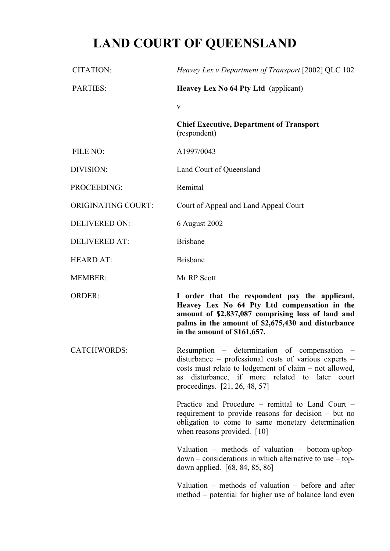# **LAND COURT OF QUEENSLAND**

| <b>CITATION:</b>          | Heavey Lex v Department of Transport [2002] QLC 102                                                                                                                                                                                                 |
|---------------------------|-----------------------------------------------------------------------------------------------------------------------------------------------------------------------------------------------------------------------------------------------------|
| <b>PARTIES:</b>           | <b>Heavey Lex No 64 Pty Ltd</b> (applicant)                                                                                                                                                                                                         |
|                           | $\mathbf{V}$                                                                                                                                                                                                                                        |
|                           | <b>Chief Executive, Department of Transport</b><br>(respondent)                                                                                                                                                                                     |
| FILE NO:                  | A1997/0043                                                                                                                                                                                                                                          |
| DIVISION:                 | Land Court of Queensland                                                                                                                                                                                                                            |
| PROCEEDING:               | Remittal                                                                                                                                                                                                                                            |
| <b>ORIGINATING COURT:</b> | Court of Appeal and Land Appeal Court                                                                                                                                                                                                               |
| <b>DELIVERED ON:</b>      | 6 August 2002                                                                                                                                                                                                                                       |
| <b>DELIVERED AT:</b>      | <b>Brisbane</b>                                                                                                                                                                                                                                     |
| <b>HEARD AT:</b>          | <b>Brisbane</b>                                                                                                                                                                                                                                     |
| <b>MEMBER:</b>            | Mr RP Scott                                                                                                                                                                                                                                         |
| <b>ORDER:</b>             | I order that the respondent pay the applicant,<br>Heavey Lex No 64 Pty Ltd compensation in the<br>amount of \$2,837,087 comprising loss of land and<br>palms in the amount of \$2,675,430 and disturbance<br>in the amount of \$161,657.            |
| <b>CATCHWORDS:</b>        | Resumption – determination of compensation<br>disturbance - professional costs of various experts -<br>costs must relate to lodgement of claim – not allowed,<br>disturbance, if more related to later court<br>as<br>proceedings. [21, 26, 48, 57] |
|                           | Practice and Procedure – remittal to Land Court –<br>requirement to provide reasons for decision $-$ but no<br>obligation to come to same monetary determination<br>when reasons provided. $[10]$                                                   |
|                           | Valuation – methods of valuation – bottom-up/top-<br>$down$ – considerations in which alternative to use – top-<br>down applied. [68, 84, 85, 86]                                                                                                   |
|                           | Valuation – methods of valuation – before and after                                                                                                                                                                                                 |

method – potential for higher use of balance land even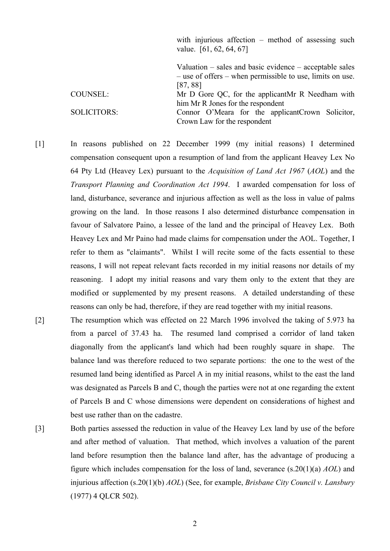|                    | with injurious affection $-$ method of assessing such<br>value. $[61, 62, 64, 67]$                                       |
|--------------------|--------------------------------------------------------------------------------------------------------------------------|
|                    | Valuation $-$ sales and basic evidence $-$ acceptable sales<br>- use of offers – when permissible to use, limits on use. |
|                    |                                                                                                                          |
|                    | [87, 88]                                                                                                                 |
| COUNSEL:           | Mr D Gore QC, for the applicant Mr R Needham with                                                                        |
|                    | him Mr R Jones for the respondent                                                                                        |
| <b>SOLICITORS:</b> | Connor O'Meara for the applicant Crown Solicitor,                                                                        |
|                    | Crown Law for the respondent                                                                                             |

[1] In reasons published on 22 December 1999 (my initial reasons) I determined compensation consequent upon a resumption of land from the applicant Heavey Lex No 64 Pty Ltd (Heavey Lex) pursuant to the *Acquisition of Land Act 1967* (*AOL*) and the *Transport Planning and Coordination Act 1994*. I awarded compensation for loss of land, disturbance, severance and injurious affection as well as the loss in value of palms growing on the land. In those reasons I also determined disturbance compensation in favour of Salvatore Paino, a lessee of the land and the principal of Heavey Lex. Both Heavey Lex and Mr Paino had made claims for compensation under the AOL. Together, I refer to them as "claimants". Whilst I will recite some of the facts essential to these reasons, I will not repeat relevant facts recorded in my initial reasons nor details of my reasoning. I adopt my initial reasons and vary them only to the extent that they are modified or supplemented by my present reasons. A detailed understanding of these reasons can only be had, therefore, if they are read together with my initial reasons.

- [2] The resumption which was effected on 22 March 1996 involved the taking of 5.973 ha from a parcel of 37.43 ha. The resumed land comprised a corridor of land taken diagonally from the applicant's land which had been roughly square in shape. The balance land was therefore reduced to two separate portions: the one to the west of the resumed land being identified as Parcel A in my initial reasons, whilst to the east the land was designated as Parcels B and C, though the parties were not at one regarding the extent of Parcels B and C whose dimensions were dependent on considerations of highest and best use rather than on the cadastre.
- [3] Both parties assessed the reduction in value of the Heavey Lex land by use of the before and after method of valuation. That method, which involves a valuation of the parent land before resumption then the balance land after, has the advantage of producing a figure which includes compensation for the loss of land, severance (s.20(1)(a) *AOL*) and injurious affection (s.20(1)(b) *AOL*) (See, for example, *Brisbane City Council v. Lansbury* (1977) 4 QLCR 502).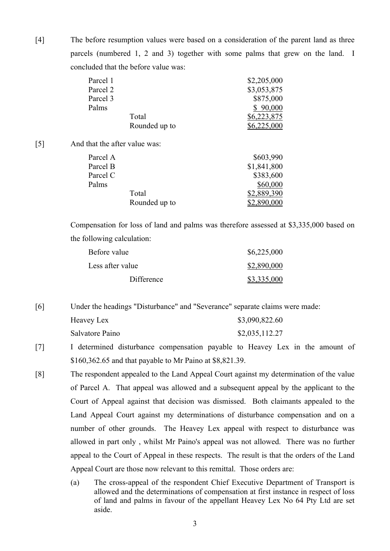[4] The before resumption values were based on a consideration of the parent land as three parcels (numbered 1, 2 and 3) together with some palms that grew on the land. I concluded that the before value was:

| Parcel 1 |               | \$2,205,000 |
|----------|---------------|-------------|
| Parcel 2 |               | \$3,053,875 |
| Parcel 3 |               | \$875,000   |
| Palms    |               | \$90,000    |
|          | Total         | \$6,223,875 |
|          | Rounded up to | \$6,225,000 |

[5] And that the after value was:

| Parcel A |               | \$603,990   |
|----------|---------------|-------------|
| Parcel B |               | \$1,841,800 |
| Parcel C |               | \$383,600   |
| Palms    |               | \$60,000    |
|          | Total         | \$2,889,390 |
|          | Rounded up to | \$2,890,000 |

Compensation for loss of land and palms was therefore assessed at \$3,335,000 based on the following calculation:

| Before value     | \$6,225,000 |
|------------------|-------------|
| Less after value | \$2,890,000 |
| Difference       | \$3,335,000 |

[6] Under the headings "Disturbance" and "Severance" separate claims were made:

| Heavey Lex      | \$3,090,822.60 |
|-----------------|----------------|
| Salvatore Paino | \$2,035,112.27 |

- [7] I determined disturbance compensation payable to Heavey Lex in the amount of \$160,362.65 and that payable to Mr Paino at \$8,821.39.
- [8] The respondent appealed to the Land Appeal Court against my determination of the value of Parcel A. That appeal was allowed and a subsequent appeal by the applicant to the Court of Appeal against that decision was dismissed. Both claimants appealed to the Land Appeal Court against my determinations of disturbance compensation and on a number of other grounds. The Heavey Lex appeal with respect to disturbance was allowed in part only , whilst Mr Paino's appeal was not allowed. There was no further appeal to the Court of Appeal in these respects. The result is that the orders of the Land Appeal Court are those now relevant to this remittal. Those orders are:
	- (a) The cross-appeal of the respondent Chief Executive Department of Transport is allowed and the determinations of compensation at first instance in respect of loss of land and palms in favour of the appellant Heavey Lex No 64 Pty Ltd are set aside.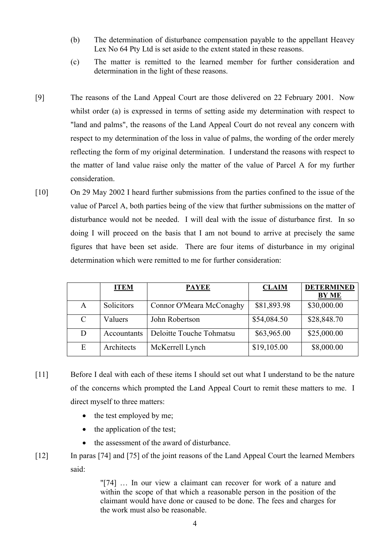- (b) The determination of disturbance compensation payable to the appellant Heavey Lex No 64 Pty Ltd is set aside to the extent stated in these reasons.
- (c) The matter is remitted to the learned member for further consideration and determination in the light of these reasons.
- [9] The reasons of the Land Appeal Court are those delivered on 22 February 2001. Now whilst order (a) is expressed in terms of setting aside my determination with respect to "land and palms", the reasons of the Land Appeal Court do not reveal any concern with respect to my determination of the loss in value of palms, the wording of the order merely reflecting the form of my original determination. I understand the reasons with respect to the matter of land value raise only the matter of the value of Parcel A for my further consideration.
- [10] On 29 May 2002 I heard further submissions from the parties confined to the issue of the value of Parcel A, both parties being of the view that further submissions on the matter of disturbance would not be needed. I will deal with the issue of disturbance first. In so doing I will proceed on the basis that I am not bound to arrive at precisely the same figures that have been set aside. There are four items of disturbance in my original determination which were remitted to me for further consideration:

|               | <b>ITEM</b> | <b>PAYEE</b>             | <b>CLAIM</b> | <b>DETERMINED</b> |
|---------------|-------------|--------------------------|--------------|-------------------|
|               |             |                          |              | <b>BY ME</b>      |
| A             | Solicitors  | Connor O'Meara McConaghy | \$81,893.98  | \$30,000.00       |
| $\mathcal{C}$ | Valuers     | John Robertson           | \$54,084.50  | \$28,848.70       |
| D             | Accountants | Deloitte Touche Tohmatsu | \$63,965.00  | \$25,000.00       |
| E             | Architects  | McKerrell Lynch          | \$19,105.00  | \$8,000.00        |

- [11] Before I deal with each of these items I should set out what I understand to be the nature of the concerns which prompted the Land Appeal Court to remit these matters to me. I direct myself to three matters:
	- $\bullet$  the test employed by me;
	- the application of the test;
	- the assessment of the award of disturbance.
- [12] In paras [74] and [75] of the joint reasons of the Land Appeal Court the learned Members said:

"[74] … In our view a claimant can recover for work of a nature and within the scope of that which a reasonable person in the position of the claimant would have done or caused to be done. The fees and charges for the work must also be reasonable.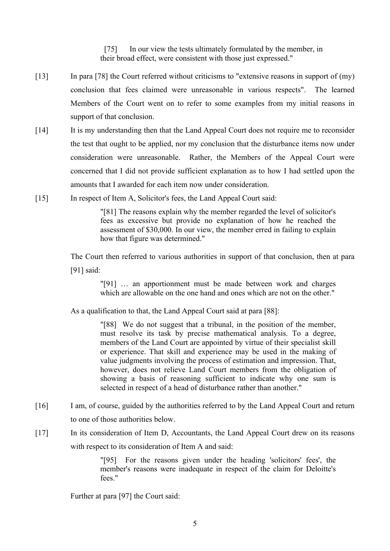[75] In our view the tests ultimately formulated by the member, in their broad effect, were consistent with those just expressed."

- [13] In para [78] the Court referred without criticisms to "extensive reasons in support of (my) conclusion that fees claimed were unreasonable in various respects". The learned Members of the Court went on to refer to some examples from my initial reasons in support of that conclusion.
- [14] It is my understanding then that the Land Appeal Court does not require me to reconsider the test that ought to be applied, nor my conclusion that the disturbance items now under consideration were unreasonable. Rather, the Members of the Appeal Court were concerned that I did not provide sufficient explanation as to how I had settled upon the amounts that I awarded for each item now under consideration.
- [15] In respect of Item A, Solicitor's fees, the Land Appeal Court said:

"[81] The reasons explain why the member regarded the level of solicitor's fees as excessive but provide no explanation of how he reached the assessment of \$30,000. In our view, the member erred in failing to explain how that figure was determined."

The Court then referred to various authorities in support of that conclusion, then at para [91] said:

> "[91] … an apportionment must be made between work and charges which are allowable on the one hand and ones which are not on the other."

As a qualification to that, the Land Appeal Court said at para [88]:

"[88] We do not suggest that a tribunal, in the position of the member, must resolve its task by precise mathematical analysis. To a degree, members of the Land Court are appointed by virtue of their specialist skill or experience. That skill and experience may be used in the making of value judgments involving the process of estimation and impression. That, however, does not relieve Land Court members from the obligation of showing a basis of reasoning sufficient to indicate why one sum is selected in respect of a head of disturbance rather than another."

- [16] I am, of course, guided by the authorities referred to by the Land Appeal Court and return to one of those authorities below.
- [17] In its consideration of Item D, Accountants, the Land Appeal Court drew on its reasons with respect to its consideration of Item A and said:

"[95] For the reasons given under the heading 'solicitors' fees', the member's reasons were inadequate in respect of the claim for Deloitte's fees."

Further at para [97] the Court said: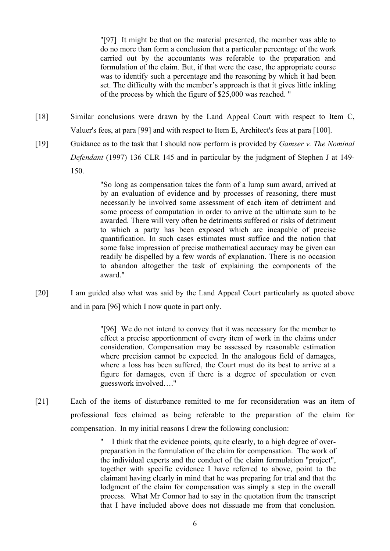"[97] It might be that on the material presented, the member was able to do no more than form a conclusion that a particular percentage of the work carried out by the accountants was referable to the preparation and formulation of the claim. But, if that were the case, the appropriate course was to identify such a percentage and the reasoning by which it had been set. The difficulty with the member's approach is that it gives little inkling of the process by which the figure of \$25,000 was reached. "

[18] Similar conclusions were drawn by the Land Appeal Court with respect to Item C, Valuer's fees, at para [99] and with respect to Item E, Architect's fees at para [100]. [19] Guidance as to the task that I should now perform is provided by *Gamser v. The Nominal Defendant* (1997) 136 CLR 145 and in particular by the judgment of Stephen J at 149- 150.

> "So long as compensation takes the form of a lump sum award, arrived at by an evaluation of evidence and by processes of reasoning, there must necessarily be involved some assessment of each item of detriment and some process of computation in order to arrive at the ultimate sum to be awarded. There will very often be detriments suffered or risks of detriment to which a party has been exposed which are incapable of precise quantification. In such cases estimates must suffice and the notion that some false impression of precise mathematical accuracy may be given can readily be dispelled by a few words of explanation. There is no occasion to abandon altogether the task of explaining the components of the award."

[20] I am guided also what was said by the Land Appeal Court particularly as quoted above and in para [96] which I now quote in part only.

> "[96] We do not intend to convey that it was necessary for the member to effect a precise apportionment of every item of work in the claims under consideration. Compensation may be assessed by reasonable estimation where precision cannot be expected. In the analogous field of damages, where a loss has been suffered, the Court must do its best to arrive at a figure for damages, even if there is a degree of speculation or even guesswork involved…."

[21] Each of the items of disturbance remitted to me for reconsideration was an item of professional fees claimed as being referable to the preparation of the claim for compensation. In my initial reasons I drew the following conclusion:

> " I think that the evidence points, quite clearly, to a high degree of overpreparation in the formulation of the claim for compensation. The work of the individual experts and the conduct of the claim formulation "project", together with specific evidence I have referred to above, point to the claimant having clearly in mind that he was preparing for trial and that the lodgment of the claim for compensation was simply a step in the overall process. What Mr Connor had to say in the quotation from the transcript that I have included above does not dissuade me from that conclusion.

> > 6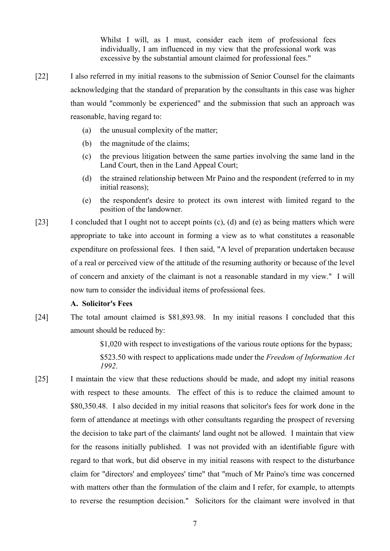Whilst I will, as I must, consider each item of professional fees individually, I am influenced in my view that the professional work was excessive by the substantial amount claimed for professional fees."

- [22] I also referred in my initial reasons to the submission of Senior Counsel for the claimants acknowledging that the standard of preparation by the consultants in this case was higher than would "commonly be experienced" and the submission that such an approach was reasonable, having regard to:
	- (a) the unusual complexity of the matter;
	- (b) the magnitude of the claims;
	- (c) the previous litigation between the same parties involving the same land in the Land Court, then in the Land Appeal Court;
	- (d) the strained relationship between Mr Paino and the respondent (referred to in my initial reasons);
	- (e) the respondent's desire to protect its own interest with limited regard to the position of the landowner.
- [23] I concluded that I ought not to accept points (c), (d) and (e) as being matters which were appropriate to take into account in forming a view as to what constitutes a reasonable expenditure on professional fees. I then said, "A level of preparation undertaken because of a real or perceived view of the attitude of the resuming authority or because of the level of concern and anxiety of the claimant is not a reasonable standard in my view." I will now turn to consider the individual items of professional fees.

#### **A. Solicitor's Fees**

[24] The total amount claimed is \$81,893.98. In my initial reasons I concluded that this amount should be reduced by:

> \$1,020 with respect to investigations of the various route options for the bypass; \$523.50 with respect to applications made under the *Freedom of Information Act 1992*.

[25] I maintain the view that these reductions should be made, and adopt my initial reasons with respect to these amounts. The effect of this is to reduce the claimed amount to \$80,350.48. I also decided in my initial reasons that solicitor's fees for work done in the form of attendance at meetings with other consultants regarding the prospect of reversing the decision to take part of the claimants' land ought not be allowed. I maintain that view for the reasons initially published. I was not provided with an identifiable figure with regard to that work, but did observe in my initial reasons with respect to the disturbance claim for "directors' and employees' time" that "much of Mr Paino's time was concerned with matters other than the formulation of the claim and I refer, for example, to attempts to reverse the resumption decision." Solicitors for the claimant were involved in that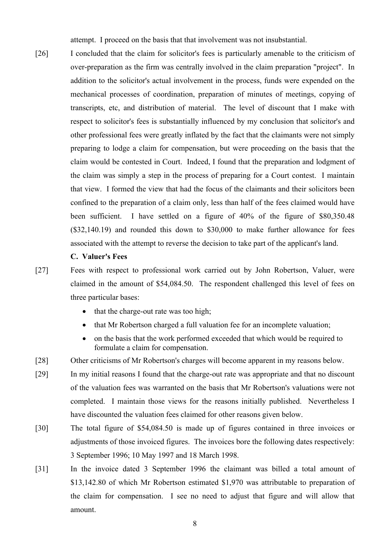attempt. I proceed on the basis that that involvement was not insubstantial.

[26] I concluded that the claim for solicitor's fees is particularly amenable to the criticism of over-preparation as the firm was centrally involved in the claim preparation "project". In addition to the solicitor's actual involvement in the process, funds were expended on the mechanical processes of coordination, preparation of minutes of meetings, copying of transcripts, etc, and distribution of material. The level of discount that I make with respect to solicitor's fees is substantially influenced by my conclusion that solicitor's and other professional fees were greatly inflated by the fact that the claimants were not simply preparing to lodge a claim for compensation, but were proceeding on the basis that the claim would be contested in Court. Indeed, I found that the preparation and lodgment of the claim was simply a step in the process of preparing for a Court contest. I maintain that view. I formed the view that had the focus of the claimants and their solicitors been confined to the preparation of a claim only, less than half of the fees claimed would have been sufficient. I have settled on a figure of 40% of the figure of \$80,350.48 (\$32,140.19) and rounded this down to \$30,000 to make further allowance for fees associated with the attempt to reverse the decision to take part of the applicant's land.

## **C. Valuer's Fees**

[27] Fees with respect to professional work carried out by John Robertson, Valuer, were claimed in the amount of \$54,084.50. The respondent challenged this level of fees on three particular bases:

- $\bullet$  that the charge-out rate was too high;
- that Mr Robertson charged a full valuation fee for an incomplete valuation;
- on the basis that the work performed exceeded that which would be required to formulate a claim for compensation.
- [28] Other criticisms of Mr Robertson's charges will become apparent in my reasons below.
- [29] In my initial reasons I found that the charge-out rate was appropriate and that no discount of the valuation fees was warranted on the basis that Mr Robertson's valuations were not completed. I maintain those views for the reasons initially published. Nevertheless I have discounted the valuation fees claimed for other reasons given below.
- [30] The total figure of \$54,084.50 is made up of figures contained in three invoices or adjustments of those invoiced figures. The invoices bore the following dates respectively: 3 September 1996; 10 May 1997 and 18 March 1998.
- [31] In the invoice dated 3 September 1996 the claimant was billed a total amount of \$13,142.80 of which Mr Robertson estimated \$1,970 was attributable to preparation of the claim for compensation. I see no need to adjust that figure and will allow that amount.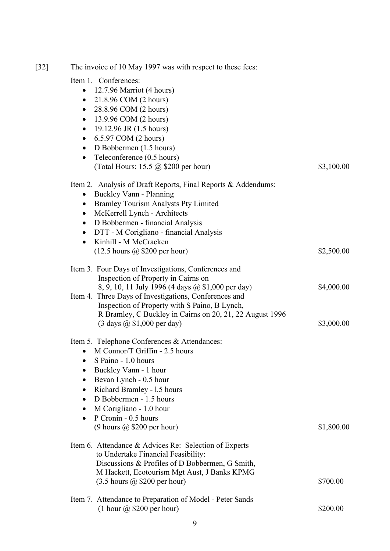| $[32]$ | The invoice of 10 May 1997 was with respect to these fees:                                                 |            |
|--------|------------------------------------------------------------------------------------------------------------|------------|
|        | Item 1. Conferences:<br>12.7.96 Marriot (4 hours)<br>21.8.96 COM (2 hours)<br>$\bullet$                    |            |
|        | 28.8.96 COM (2 hours)<br>$\bullet$<br>13.9.96 COM (2 hours)                                                |            |
|        | $\bullet$<br>19.12.96 JR (1.5 hours)<br>$\bullet$                                                          |            |
|        | 6.5.97 COM (2 hours)<br>$\bullet$                                                                          |            |
|        | D Bobbermen (1.5 hours)<br>$\bullet$                                                                       |            |
|        | Teleconference (0.5 hours)<br>$\bullet$                                                                    |            |
|        | (Total Hours: 15.5 @ \$200 per hour)                                                                       | \$3,100.00 |
|        | Item 2. Analysis of Draft Reports, Final Reports & Addendums:                                              |            |
|        | Buckley Vann - Planning<br>$\bullet$                                                                       |            |
|        | <b>Bramley Tourism Analysts Pty Limited</b><br>$\bullet$                                                   |            |
|        | McKerrell Lynch - Architects<br>$\bullet$                                                                  |            |
|        | D Bobbermen - financial Analysis<br>$\bullet$<br>DTT - M Corigliano - financial Analysis<br>$\bullet$      |            |
|        | Kinhill - M McCracken<br>$\bullet$                                                                         |            |
|        | $(12.5 \text{ hours } @$ \$200 per hour)                                                                   | \$2,500.00 |
|        | Item 3. Four Days of Investigations, Conferences and                                                       |            |
|        | Inspection of Property in Cairns on                                                                        | \$4,000.00 |
|        | 8, 9, 10, 11 July 1996 (4 days @ \$1,000 per day)<br>Item 4. Three Days of Investigations, Conferences and |            |
|        | Inspection of Property with S Paino, B Lynch,                                                              |            |
|        | R Bramley, C Buckley in Cairns on 20, 21, 22 August 1996                                                   |            |
|        | $(3 \text{ days } @$ \$1,000 per day)                                                                      | \$3,000.00 |
|        | Item 5. Telephone Conferences & Attendances:                                                               |            |
|        | M Connor/T Griffin - 2.5 hours<br>$\bullet$                                                                |            |
|        | S Paino - 1.0 hours<br>$\bullet$                                                                           |            |
|        | Buckley Vann - 1 hour<br>٠                                                                                 |            |
|        | Bevan Lynch - 0.5 hour<br>$\bullet$                                                                        |            |
|        | Richard Bramley - 1.5 hours<br>$\bullet$<br>D Bobbermen - 1.5 hours<br>$\bullet$                           |            |
|        | M Corigliano - 1.0 hour<br>٠                                                                               |            |
|        | P Cronin - 0.5 hours                                                                                       |            |
|        | $(9 \text{ hours } @$ \$200 per hour)                                                                      | \$1,800.00 |
|        | Item 6. Attendance & Advices Re: Selection of Experts<br>to Undertake Financial Feasibility:               |            |
|        | Discussions & Profiles of D Bobbermen, G Smith,                                                            |            |
|        | M Hackett, Ecotourism Mgt Aust, J Banks KPMG                                                               |            |
|        | $(3.5 \text{ hours } @$ \$200 per hour)                                                                    | \$700.00   |
|        | Item 7. Attendance to Preparation of Model - Peter Sands                                                   |            |
|        | $(1$ hour $@$ \$200 per hour)                                                                              | \$200.00   |
|        |                                                                                                            |            |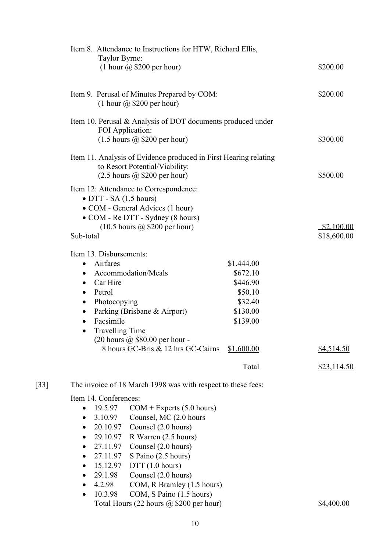|                    | Item 8. Attendance to Instructions for HTW, Richard Ellis,<br>Taylor Byrne:<br>$(1$ hour $\omega$ \$200 per hour) | \$200.00                  |
|--------------------|-------------------------------------------------------------------------------------------------------------------|---------------------------|
|                    | Item 9. Perusal of Minutes Prepared by COM:<br>$(1$ hour $(a)$ \$200 per hour)                                    | \$200.00                  |
|                    | Item 10. Perusal & Analysis of DOT documents produced under                                                       |                           |
|                    | FOI Application:<br>$(1.5 \text{ hours } @$ \$200 per hour)                                                       | \$300.00                  |
|                    | Item 11. Analysis of Evidence produced in First Hearing relating<br>to Resort Potential/Viability:                |                           |
|                    | $(2.5 \text{ hours } @$ \$200 per hour)                                                                           | \$500.00                  |
|                    | Item 12: Attendance to Correspondence:<br>$\bullet$ DTT - SA (1.5 hours)                                          |                           |
|                    | • COM - General Advices (1 hour)<br>• COM - Re DTT - Sydney (8 hours)                                             |                           |
|                    | $(10.5 \text{ hours } \textcircled{a}, $200 \text{ per hour})$<br>Sub-total                                       | \$2,100.00<br>\$18,600.00 |
|                    | Item 13. Disbursements:                                                                                           |                           |
|                    | Airfares<br>\$1,444.00<br>$\bullet$                                                                               |                           |
|                    | Accommodation/Meals<br>\$672.10<br>$\bullet$                                                                      |                           |
|                    | Car Hire<br>\$446.90<br>$\bullet$                                                                                 |                           |
|                    | Petrol<br>\$50.10<br>$\bullet$                                                                                    |                           |
|                    | \$32.40<br>Photocopying<br>$\bullet$                                                                              |                           |
|                    | Parking (Brisbane & Airport)<br>\$130.00<br>$\bullet$<br>Facsimile<br>\$139.00<br>$\bullet$                       |                           |
|                    | <b>Travelling Time</b><br>٠                                                                                       |                           |
|                    | $(20$ hours $\omega$ \$80.00 per hour -                                                                           |                           |
|                    | 8 hours GC-Bris & 12 hrs GC-Cairns<br>\$1,600.00                                                                  | \$4,514.50                |
|                    | Total                                                                                                             | <u>\$23,114.50</u>        |
| $\lceil 33 \rceil$ | The invoice of 18 March 1998 was with respect to these fees:                                                      |                           |
|                    | Item 14. Conferences:                                                                                             |                           |
|                    | 19.5.97<br>$COM + Express (5.0 hours)$<br>$\bullet$                                                               |                           |
|                    | 3.10.97<br>Counsel, MC (2.0 hours<br>$\bullet$                                                                    |                           |
|                    | 20.10.97<br>Counsel (2.0 hours)<br>$\bullet$                                                                      |                           |
|                    | 29.10.97<br>R Warren (2.5 hours)<br>$\bullet$                                                                     |                           |
|                    | 27.11.97<br>Counsel (2.0 hours)<br>$\bullet$                                                                      |                           |
|                    | 27.11.97<br>S Paino (2.5 hours)<br>$\bullet$                                                                      |                           |
|                    | 15.12.97<br>DTT(1.0 hours)<br>$\bullet$<br>Counsel (2.0 hours)<br>29.1.98                                         |                           |
|                    | ٠<br>4.2.98<br>COM, R Bramley (1.5 hours)<br>$\bullet$                                                            |                           |
|                    | COM, S Paino (1.5 hours)<br>10.3.98<br>$\bullet$                                                                  |                           |
|                    | Total Hours (22 hours @ \$200 per hour)                                                                           | \$4,400.00                |
|                    |                                                                                                                   |                           |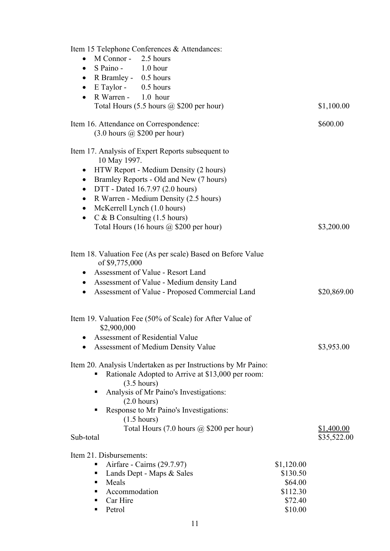| Item 15 Telephone Conferences & Attendances:                         |            |             |
|----------------------------------------------------------------------|------------|-------------|
| M Connor - 2.5 hours<br>$\bullet$                                    |            |             |
| S Paino - 1.0 hour<br>$\bullet$                                      |            |             |
| • R Bramley - 0.5 hours                                              |            |             |
| $E$ Taylor - 0.5 hours<br>$\bullet$                                  |            |             |
| R Warren - 1.0 hour<br>$\bullet$                                     |            |             |
| Total Hours $(5.5 \text{ hours } @$ \$200 per hour)                  |            | \$1,100.00  |
|                                                                      |            |             |
| Item 16. Attendance on Correspondence:                               |            | \$600.00    |
| $(3.0 \text{ hours } (a)$ \$200 per hour)                            |            |             |
| Item 17. Analysis of Expert Reports subsequent to                    |            |             |
| 10 May 1997.                                                         |            |             |
| HTW Report - Medium Density (2 hours)                                |            |             |
| Bramley Reports - Old and New (7 hours)<br>$\bullet$                 |            |             |
| DTT - Dated 16.7.97 (2.0 hours)<br>$\bullet$                         |            |             |
| R Warren - Medium Density (2.5 hours)<br>$\bullet$                   |            |             |
| McKerrell Lynch (1.0 hours)<br>$\bullet$                             |            |             |
| $C & B$ Consulting (1.5 hours)<br>$\bullet$                          |            |             |
| Total Hours (16 hours @ \$200 per hour)                              |            | \$3,200.00  |
| Item 18. Valuation Fee (As per scale) Based on Before Value          |            |             |
| of \$9,775,000                                                       |            |             |
| • Assessment of Value - Resort Land                                  |            |             |
| • Assessment of Value - Medium density Land                          |            |             |
| Assessment of Value - Proposed Commercial Land<br>$\bullet$          |            | \$20,869.00 |
| Item 19. Valuation Fee (50% of Scale) for After Value of             |            |             |
| \$2,900,000                                                          |            |             |
| Assessment of Residential Value                                      |            |             |
| <b>Assessment of Medium Density Value</b>                            |            | \$3,953.00  |
|                                                                      |            |             |
| Item 20. Analysis Undertaken as per Instructions by Mr Paino:        |            |             |
| Rationale Adopted to Arrive at \$13,000 per room:                    |            |             |
| $(3.5 \text{ hours})$                                                |            |             |
| Analysis of Mr Paino's Investigations:                               |            |             |
| $(2.0 \text{ hours})$                                                |            |             |
| Response to Mr Paino's Investigations:<br>٠<br>$(1.5 \text{ hours})$ |            |             |
| Total Hours $(7.0 \text{ hours } @$ \$200 per hour)                  |            | \$1,400.00  |
| Sub-total                                                            |            | \$35,522.00 |
| Item 21. Disbursements:                                              |            |             |
| Airfare - Cairns (29.7.97)                                           | \$1,120.00 |             |
| Lands Dept - Maps & Sales<br>п                                       | \$130.50   |             |
| Meals<br>٠                                                           | \$64.00    |             |
| Accommodation<br>٠                                                   | \$112.30   |             |
| Car Hire<br>٠                                                        | \$72.40    |             |
| Petrol<br>٠                                                          | \$10.00    |             |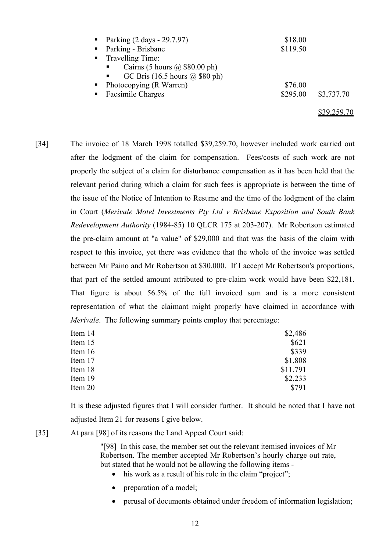| • Parking $(2 \text{ days} - 29.7.97)$             | \$18.00  |             |
|----------------------------------------------------|----------|-------------|
| • Parking - Brisbane                               | \$119.50 |             |
| • Travelling Time:                                 |          |             |
| Cairns (5 hours $\omega$ \$80.00 ph)               |          |             |
| GC Bris $(16.5 \text{ hours } (a) $80 \text{ ph})$ |          |             |
| • Photocopying (R Warren)                          | \$76.00  |             |
| • Facsimile Charges                                | \$295.00 | \$3,737.70  |
|                                                    |          | \$39,259.70 |

[34] The invoice of 18 March 1998 totalled \$39,259.70, however included work carried out after the lodgment of the claim for compensation. Fees/costs of such work are not properly the subject of a claim for disturbance compensation as it has been held that the relevant period during which a claim for such fees is appropriate is between the time of the issue of the Notice of Intention to Resume and the time of the lodgment of the claim in Court (*Merivale Motel Investments Pty Ltd v Brisbane Exposition and South Bank Redevelopment Authority* (1984-85) 10 QLCR 175 at 203-207). Mr Robertson estimated the pre-claim amount at "a value" of \$29,000 and that was the basis of the claim with respect to this invoice, yet there was evidence that the whole of the invoice was settled between Mr Paino and Mr Robertson at \$30,000. If I accept Mr Robertson's proportions, that part of the settled amount attributed to pre-claim work would have been \$22,181. That figure is about 56.5% of the full invoiced sum and is a more consistent representation of what the claimant might properly have claimed in accordance with *Merivale*. The following summary points employ that percentage:

| Item 14 | \$2,486  |
|---------|----------|
| Item 15 | \$621    |
| Item 16 | \$339    |
| Item 17 | \$1,808  |
| Item 18 | \$11,791 |
| Item 19 | \$2,233  |
| Item 20 | \$791    |
|         |          |

It is these adjusted figures that I will consider further. It should be noted that I have not adjusted Item 21 for reasons I give below.

[35] At para [98] of its reasons the Land Appeal Court said:

"[98] In this case, the member set out the relevant itemised invoices of Mr Robertson. The member accepted Mr Robertson's hourly charge out rate, but stated that he would not be allowing the following items -

- his work as a result of his role in the claim "project";
- preparation of a model;
- perusal of documents obtained under freedom of information legislation;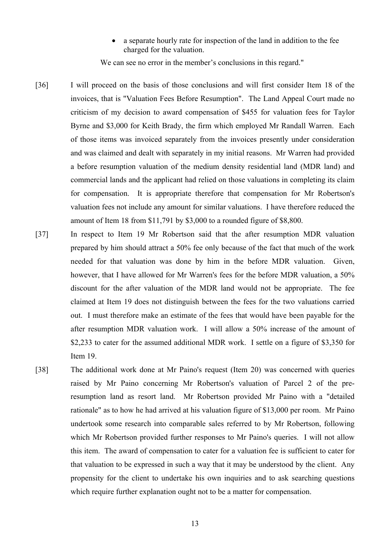a separate hourly rate for inspection of the land in addition to the fee charged for the valuation.

We can see no error in the member's conclusions in this regard."

- [36] I will proceed on the basis of those conclusions and will first consider Item 18 of the invoices, that is "Valuation Fees Before Resumption". The Land Appeal Court made no criticism of my decision to award compensation of \$455 for valuation fees for Taylor Byrne and \$3,000 for Keith Brady, the firm which employed Mr Randall Warren. Each of those items was invoiced separately from the invoices presently under consideration and was claimed and dealt with separately in my initial reasons. Mr Warren had provided a before resumption valuation of the medium density residential land (MDR land) and commercial lands and the applicant had relied on those valuations in completing its claim for compensation. It is appropriate therefore that compensation for Mr Robertson's valuation fees not include any amount for similar valuations. I have therefore reduced the amount of Item 18 from \$11,791 by \$3,000 to a rounded figure of \$8,800.
- [37] In respect to Item 19 Mr Robertson said that the after resumption MDR valuation prepared by him should attract a 50% fee only because of the fact that much of the work needed for that valuation was done by him in the before MDR valuation. Given, however, that I have allowed for Mr Warren's fees for the before MDR valuation, a 50% discount for the after valuation of the MDR land would not be appropriate. The fee claimed at Item 19 does not distinguish between the fees for the two valuations carried out. I must therefore make an estimate of the fees that would have been payable for the after resumption MDR valuation work. I will allow a 50% increase of the amount of \$2,233 to cater for the assumed additional MDR work. I settle on a figure of \$3,350 for Item 19.
- [38] The additional work done at Mr Paino's request (Item 20) was concerned with queries raised by Mr Paino concerning Mr Robertson's valuation of Parcel 2 of the preresumption land as resort land. Mr Robertson provided Mr Paino with a "detailed rationale" as to how he had arrived at his valuation figure of \$13,000 per room. Mr Paino undertook some research into comparable sales referred to by Mr Robertson, following which Mr Robertson provided further responses to Mr Paino's queries. I will not allow this item. The award of compensation to cater for a valuation fee is sufficient to cater for that valuation to be expressed in such a way that it may be understood by the client. Any propensity for the client to undertake his own inquiries and to ask searching questions which require further explanation ought not to be a matter for compensation.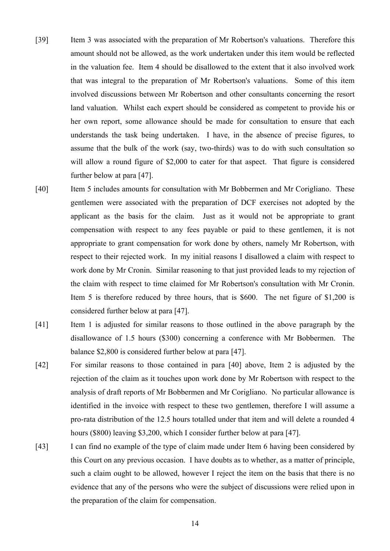- [39] Item 3 was associated with the preparation of Mr Robertson's valuations. Therefore this amount should not be allowed, as the work undertaken under this item would be reflected in the valuation fee. Item 4 should be disallowed to the extent that it also involved work that was integral to the preparation of Mr Robertson's valuations. Some of this item involved discussions between Mr Robertson and other consultants concerning the resort land valuation. Whilst each expert should be considered as competent to provide his or her own report, some allowance should be made for consultation to ensure that each understands the task being undertaken. I have, in the absence of precise figures, to assume that the bulk of the work (say, two-thirds) was to do with such consultation so will allow a round figure of \$2,000 to cater for that aspect. That figure is considered further below at para [47].
- [40] Item 5 includes amounts for consultation with Mr Bobbermen and Mr Corigliano. These gentlemen were associated with the preparation of DCF exercises not adopted by the applicant as the basis for the claim. Just as it would not be appropriate to grant compensation with respect to any fees payable or paid to these gentlemen, it is not appropriate to grant compensation for work done by others, namely Mr Robertson, with respect to their rejected work. In my initial reasons I disallowed a claim with respect to work done by Mr Cronin. Similar reasoning to that just provided leads to my rejection of the claim with respect to time claimed for Mr Robertson's consultation with Mr Cronin. Item 5 is therefore reduced by three hours, that is \$600. The net figure of \$1,200 is considered further below at para [47].
- [41] Item 1 is adjusted for similar reasons to those outlined in the above paragraph by the disallowance of 1.5 hours (\$300) concerning a conference with Mr Bobbermen. The balance \$2,800 is considered further below at para [47].
- [42] For similar reasons to those contained in para [40] above, Item 2 is adjusted by the rejection of the claim as it touches upon work done by Mr Robertson with respect to the analysis of draft reports of Mr Bobbermen and Mr Corigliano. No particular allowance is identified in the invoice with respect to these two gentlemen, therefore I will assume a pro-rata distribution of the 12.5 hours totalled under that item and will delete a rounded 4 hours (\$800) leaving \$3,200, which I consider further below at para [47].
- [43] I can find no example of the type of claim made under Item 6 having been considered by this Court on any previous occasion. I have doubts as to whether, as a matter of principle, such a claim ought to be allowed, however I reject the item on the basis that there is no evidence that any of the persons who were the subject of discussions were relied upon in the preparation of the claim for compensation.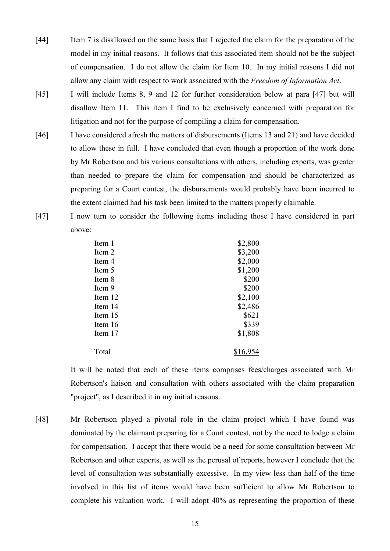- [44] Item 7 is disallowed on the same basis that I rejected the claim for the preparation of the model in my initial reasons. It follows that this associated item should not be the subject of compensation. I do not allow the claim for Item 10. In my initial reasons I did not allow any claim with respect to work associated with the *Freedom of Information Act*.
- [45] I will include Items 8, 9 and 12 for further consideration below at para [47] but will disallow Item 11. This item I find to be exclusively concerned with preparation for litigation and not for the purpose of compiling a claim for compensation.
- [46] I have considered afresh the matters of disbursements (Items 13 and 21) and have decided to allow these in full. I have concluded that even though a proportion of the work done by Mr Robertson and his various consultations with others, including experts, was greater than needed to prepare the claim for compensation and should be characterized as preparing for a Court contest, the disbursements would probably have been incurred to the extent claimed had his task been limited to the matters properly claimable.
- [47] I now turn to consider the following items including those I have considered in part above:

| Item 1  | \$2,800  |
|---------|----------|
| Item 2  | \$3,200  |
| Item 4  | \$2,000  |
| Item 5  | \$1,200  |
| Item 8  | \$200    |
| Item 9  | \$200    |
| Item 12 | \$2,100  |
| Item 14 | \$2,486  |
| Item 15 | \$621    |
| Item 16 | \$339    |
| Item 17 | \$1,808  |
| Total   | \$16,954 |

It will be noted that each of these items comprises fees/charges associated with Mr Robertson's liaison and consultation with others associated with the claim preparation "project", as I described it in my initial reasons.

[48] Mr Robertson played a pivotal role in the claim project which I have found was dominated by the claimant preparing for a Court contest, not by the need to lodge a claim for compensation. I accept that there would be a need for some consultation between Mr Robertson and other experts, as well as the perusal of reports, however I conclude that the level of consultation was substantially excessive. In my view less than half of the time involved in this list of items would have been sufficient to allow Mr Robertson to complete his valuation work. I will adopt 40% as representing the proportion of these

15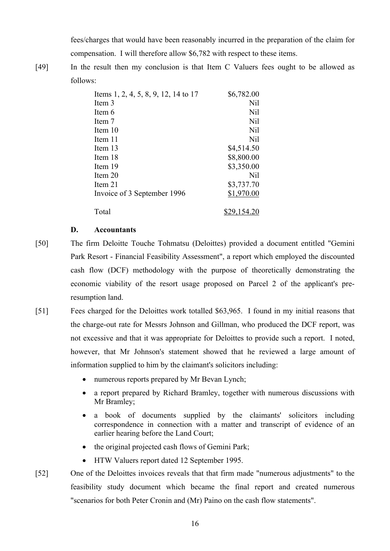fees/charges that would have been reasonably incurred in the preparation of the claim for compensation. I will therefore allow \$6,782 with respect to these items.

[49] In the result then my conclusion is that Item C Valuers fees ought to be allowed as follows:

| Items 1, 2, 4, 5, 8, 9, 12, 14 to 17 | \$6,782.00  |
|--------------------------------------|-------------|
| Item 3                               | Nil         |
| Item 6                               | Nil         |
| Item 7                               | Nil         |
| Item 10                              | Nil         |
| Item 11                              | Nil         |
| Item 13                              | \$4,514.50  |
| Item 18                              | \$8,800.00  |
| Item 19                              | \$3,350.00  |
| Item 20                              | Nil         |
| Item 21                              | \$3,737.70  |
| Invoice of 3 September 1996          | \$1,970.00  |
| Total                                | \$29,154.20 |

## **D. Accountants**

- [50] The firm Deloitte Touche Tohmatsu (Deloittes) provided a document entitled "Gemini Park Resort - Financial Feasibility Assessment", a report which employed the discounted cash flow (DCF) methodology with the purpose of theoretically demonstrating the economic viability of the resort usage proposed on Parcel 2 of the applicant's preresumption land.
- [51] Fees charged for the Deloittes work totalled \$63,965. I found in my initial reasons that the charge-out rate for Messrs Johnson and Gillman, who produced the DCF report, was not excessive and that it was appropriate for Deloittes to provide such a report. I noted, however, that Mr Johnson's statement showed that he reviewed a large amount of information supplied to him by the claimant's solicitors including:
	- numerous reports prepared by Mr Bevan Lynch;
	- a report prepared by Richard Bramley, together with numerous discussions with Mr Bramley;
	- a book of documents supplied by the claimants' solicitors including correspondence in connection with a matter and transcript of evidence of an earlier hearing before the Land Court;
	- the original projected cash flows of Gemini Park;
	- HTW Valuers report dated 12 September 1995.
- [52] One of the Deloittes invoices reveals that that firm made "numerous adjustments" to the feasibility study document which became the final report and created numerous "scenarios for both Peter Cronin and (Mr) Paino on the cash flow statements".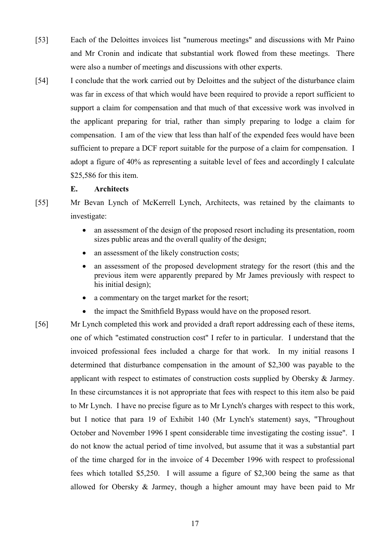- [53] Each of the Deloittes invoices list "numerous meetings" and discussions with Mr Paino and Mr Cronin and indicate that substantial work flowed from these meetings. There were also a number of meetings and discussions with other experts.
- [54] I conclude that the work carried out by Deloittes and the subject of the disturbance claim was far in excess of that which would have been required to provide a report sufficient to support a claim for compensation and that much of that excessive work was involved in the applicant preparing for trial, rather than simply preparing to lodge a claim for compensation. I am of the view that less than half of the expended fees would have been sufficient to prepare a DCF report suitable for the purpose of a claim for compensation. I adopt a figure of 40% as representing a suitable level of fees and accordingly I calculate \$25,586 for this item.

## **E. Architects**

- [55] Mr Bevan Lynch of McKerrell Lynch, Architects, was retained by the claimants to investigate:
	- an assessment of the design of the proposed resort including its presentation, room sizes public areas and the overall quality of the design;
	- an assessment of the likely construction costs;
	- an assessment of the proposed development strategy for the resort (this and the previous item were apparently prepared by Mr James previously with respect to his initial design);
	- a commentary on the target market for the resort:
	- the impact the Smithfield Bypass would have on the proposed resort.
- [56] Mr Lynch completed this work and provided a draft report addressing each of these items, one of which "estimated construction cost" I refer to in particular. I understand that the invoiced professional fees included a charge for that work. In my initial reasons I determined that disturbance compensation in the amount of \$2,300 was payable to the applicant with respect to estimates of construction costs supplied by Obersky & Jarmey. In these circumstances it is not appropriate that fees with respect to this item also be paid to Mr Lynch. I have no precise figure as to Mr Lynch's charges with respect to this work, but I notice that para 19 of Exhibit 140 (Mr Lynch's statement) says, "Throughout October and November 1996 I spent considerable time investigating the costing issue". I do not know the actual period of time involved, but assume that it was a substantial part of the time charged for in the invoice of 4 December 1996 with respect to professional fees which totalled \$5,250. I will assume a figure of \$2,300 being the same as that allowed for Obersky & Jarmey, though a higher amount may have been paid to Mr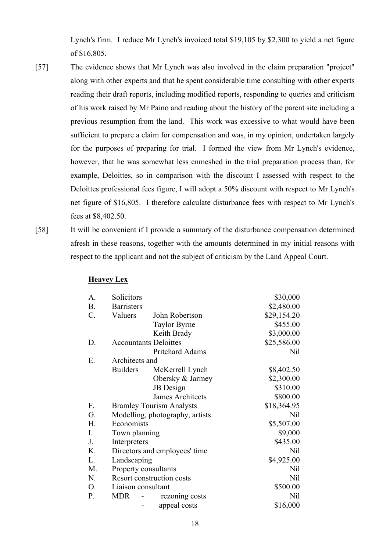Lynch's firm. I reduce Mr Lynch's invoiced total \$19,105 by \$2,300 to yield a net figure of \$16,805.

- [57] The evidence shows that Mr Lynch was also involved in the claim preparation "project" along with other experts and that he spent considerable time consulting with other experts reading their draft reports, including modified reports, responding to queries and criticism of his work raised by Mr Paino and reading about the history of the parent site including a previous resumption from the land. This work was excessive to what would have been sufficient to prepare a claim for compensation and was, in my opinion, undertaken largely for the purposes of preparing for trial. I formed the view from Mr Lynch's evidence, however, that he was somewhat less enmeshed in the trial preparation process than, for example, Deloittes, so in comparison with the discount I assessed with respect to the Deloittes professional fees figure, I will adopt a 50% discount with respect to Mr Lynch's net figure of \$16,805. I therefore calculate disturbance fees with respect to Mr Lynch's fees at \$8,402.50.
- 

[58] It will be convenient if I provide a summary of the disturbance compensation determined afresh in these reasons, together with the amounts determined in my initial reasons with respect to the applicant and not the subject of criticism by the Land Appeal Court.

| А.             | Solicitors           |                                 | \$30,000    |
|----------------|----------------------|---------------------------------|-------------|
| <b>B.</b>      | <b>Barristers</b>    |                                 | \$2,480.00  |
| $C$ .          | Valuers              | John Robertson                  | \$29,154.20 |
|                |                      | <b>Taylor Byrne</b>             | \$455.00    |
|                |                      | Keith Brady                     | \$3,000.00  |
| D.             |                      | <b>Accountants Deloittes</b>    | \$25,586.00 |
|                |                      | Pritchard Adams                 | Nil         |
| E.             | Architects and       |                                 |             |
|                | <b>Builders</b>      | McKerrell Lynch                 | \$8,402.50  |
|                |                      | Obersky & Jarmey                | \$2,300.00  |
|                |                      | <b>JB</b> Design                | \$310.00    |
|                |                      | James Architects                | \$800.00    |
| F.             |                      | <b>Bramley Tourism Analysts</b> | \$18,364.95 |
| G.             |                      | Modelling, photography, artists | Nil         |
| H.             | Economists           |                                 | \$5,507.00  |
| Ι.             | Town planning        |                                 | \$9,000     |
| J <sub>r</sub> | Interpreters         |                                 | \$435.00    |
| K.             |                      | Directors and employees' time   | Nil         |
| L.             | Landscaping          |                                 | \$4,925.00  |
| M.             | Property consultants |                                 | Nil         |
| N.             |                      | Resort construction costs       | Nil         |
| О.             | Liaison consultant   |                                 | \$500.00    |
| P.             | <b>MDR</b>           | rezoning costs                  | Nil         |
|                |                      | appeal costs                    | \$16,000    |

### **Heavey Lex**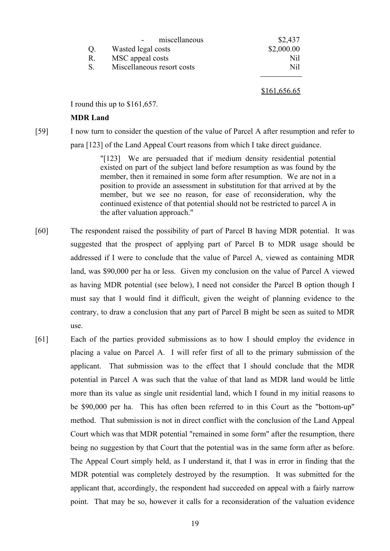|                | miscellaneous              | \$2,437      |
|----------------|----------------------------|--------------|
| Q.             | Wasted legal costs         | \$2,000.00   |
| $\mathbf{R}$ . | MSC appeal costs           | Nil          |
| S.             | Miscellaneous resort costs | Nil          |
|                |                            |              |
|                |                            | \$161,656.65 |

I round this up to \$161,657.

#### **MDR Land**

[59] I now turn to consider the question of the value of Parcel A after resumption and refer to para [123] of the Land Appeal Court reasons from which I take direct guidance.

> "[123] We are persuaded that if medium density residential potential existed on part of the subject land before resumption as was found by the member, then it remained in some form after resumption. We are not in a position to provide an assessment in substitution for that arrived at by the member, but we see no reason, for ease of reconsideration, why the continued existence of that potential should not be restricted to parcel A in the after valuation approach."

- [60] The respondent raised the possibility of part of Parcel B having MDR potential. It was suggested that the prospect of applying part of Parcel B to MDR usage should be addressed if I were to conclude that the value of Parcel A, viewed as containing MDR land, was \$90,000 per ha or less. Given my conclusion on the value of Parcel A viewed as having MDR potential (see below), I need not consider the Parcel B option though I must say that I would find it difficult, given the weight of planning evidence to the contrary, to draw a conclusion that any part of Parcel B might be seen as suited to MDR use.
- [61] Each of the parties provided submissions as to how I should employ the evidence in placing a value on Parcel A. I will refer first of all to the primary submission of the applicant. That submission was to the effect that I should conclude that the MDR potential in Parcel A was such that the value of that land as MDR land would be little more than its value as single unit residential land, which I found in my initial reasons to be \$90,000 per ha. This has often been referred to in this Court as the "bottom-up" method. That submission is not in direct conflict with the conclusion of the Land Appeal Court which was that MDR potential "remained in some form" after the resumption, there being no suggestion by that Court that the potential was in the same form after as before. The Appeal Court simply held, as I understand it, that I was in error in finding that the MDR potential was completely destroyed by the resumption. It was submitted for the applicant that, accordingly, the respondent had succeeded on appeal with a fairly narrow point. That may be so, however it calls for a reconsideration of the valuation evidence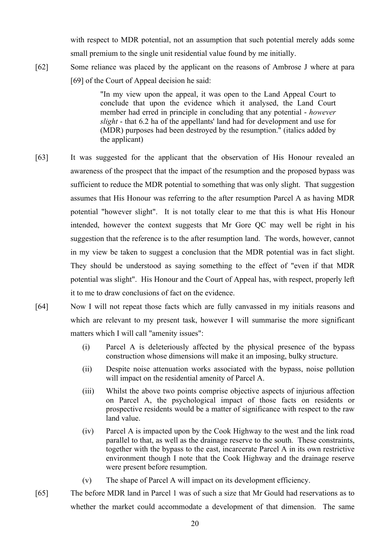with respect to MDR potential, not an assumption that such potential merely adds some small premium to the single unit residential value found by me initially.

[62] Some reliance was placed by the applicant on the reasons of Ambrose J where at para [69] of the Court of Appeal decision he said:

> "In my view upon the appeal, it was open to the Land Appeal Court to conclude that upon the evidence which it analysed, the Land Court member had erred in principle in concluding that any potential - *however slight* - that 6.2 ha of the appellants' land had for development and use for (MDR) purposes had been destroyed by the resumption." (italics added by the applicant)

- [63] It was suggested for the applicant that the observation of His Honour revealed an awareness of the prospect that the impact of the resumption and the proposed bypass was sufficient to reduce the MDR potential to something that was only slight. That suggestion assumes that His Honour was referring to the after resumption Parcel A as having MDR potential "however slight". It is not totally clear to me that this is what His Honour intended, however the context suggests that Mr Gore QC may well be right in his suggestion that the reference is to the after resumption land. The words, however, cannot in my view be taken to suggest a conclusion that the MDR potential was in fact slight. They should be understood as saying something to the effect of "even if that MDR potential was slight". His Honour and the Court of Appeal has, with respect, properly left it to me to draw conclusions of fact on the evidence.
- [64] Now I will not repeat those facts which are fully canvassed in my initials reasons and which are relevant to my present task, however I will summarise the more significant matters which I will call "amenity issues":
	- (i) Parcel A is deleteriously affected by the physical presence of the bypass construction whose dimensions will make it an imposing, bulky structure.
	- (ii) Despite noise attenuation works associated with the bypass, noise pollution will impact on the residential amenity of Parcel A.
	- (iii) Whilst the above two points comprise objective aspects of injurious affection on Parcel A, the psychological impact of those facts on residents or prospective residents would be a matter of significance with respect to the raw land value.
	- (iv) Parcel A is impacted upon by the Cook Highway to the west and the link road parallel to that, as well as the drainage reserve to the south. These constraints, together with the bypass to the east, incarcerate Parcel A in its own restrictive environment though I note that the Cook Highway and the drainage reserve were present before resumption.
	- (v) The shape of Parcel A will impact on its development efficiency.
- [65] The before MDR land in Parcel 1 was of such a size that Mr Gould had reservations as to whether the market could accommodate a development of that dimension. The same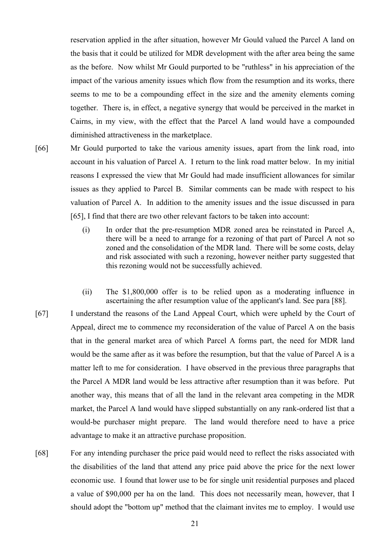reservation applied in the after situation, however Mr Gould valued the Parcel A land on the basis that it could be utilized for MDR development with the after area being the same as the before. Now whilst Mr Gould purported to be "ruthless" in his appreciation of the impact of the various amenity issues which flow from the resumption and its works, there seems to me to be a compounding effect in the size and the amenity elements coming together. There is, in effect, a negative synergy that would be perceived in the market in Cairns, in my view, with the effect that the Parcel A land would have a compounded diminished attractiveness in the marketplace.

- [66] Mr Gould purported to take the various amenity issues, apart from the link road, into account in his valuation of Parcel A. I return to the link road matter below. In my initial reasons I expressed the view that Mr Gould had made insufficient allowances for similar issues as they applied to Parcel B. Similar comments can be made with respect to his valuation of Parcel A. In addition to the amenity issues and the issue discussed in para [65], I find that there are two other relevant factors to be taken into account:
	- (i) In order that the pre-resumption MDR zoned area be reinstated in Parcel A, there will be a need to arrange for a rezoning of that part of Parcel A not so zoned and the consolidation of the MDR land. There will be some costs, delay and risk associated with such a rezoning, however neither party suggested that this rezoning would not be successfully achieved.
	- (ii) The \$1,800,000 offer is to be relied upon as a moderating influence in ascertaining the after resumption value of the applicant's land. See para [88].
- [67] I understand the reasons of the Land Appeal Court, which were upheld by the Court of Appeal, direct me to commence my reconsideration of the value of Parcel A on the basis that in the general market area of which Parcel A forms part, the need for MDR land would be the same after as it was before the resumption, but that the value of Parcel A is a matter left to me for consideration. I have observed in the previous three paragraphs that the Parcel A MDR land would be less attractive after resumption than it was before. Put another way, this means that of all the land in the relevant area competing in the MDR market, the Parcel A land would have slipped substantially on any rank-ordered list that a would-be purchaser might prepare. The land would therefore need to have a price advantage to make it an attractive purchase proposition.
- [68] For any intending purchaser the price paid would need to reflect the risks associated with the disabilities of the land that attend any price paid above the price for the next lower economic use. I found that lower use to be for single unit residential purposes and placed a value of \$90,000 per ha on the land. This does not necessarily mean, however, that I should adopt the "bottom up" method that the claimant invites me to employ. I would use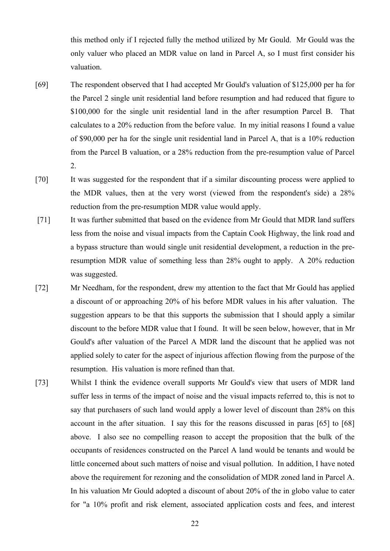this method only if I rejected fully the method utilized by Mr Gould. Mr Gould was the only valuer who placed an MDR value on land in Parcel A, so I must first consider his valuation.

- [69] The respondent observed that I had accepted Mr Gould's valuation of \$125,000 per ha for the Parcel 2 single unit residential land before resumption and had reduced that figure to \$100,000 for the single unit residential land in the after resumption Parcel B. That calculates to a 20% reduction from the before value. In my initial reasons I found a value of \$90,000 per ha for the single unit residential land in Parcel A, that is a 10% reduction from the Parcel B valuation, or a 28% reduction from the pre-resumption value of Parcel 2.
- [70] It was suggested for the respondent that if a similar discounting process were applied to the MDR values, then at the very worst (viewed from the respondent's side) a 28% reduction from the pre-resumption MDR value would apply.
- [71] It was further submitted that based on the evidence from Mr Gould that MDR land suffers less from the noise and visual impacts from the Captain Cook Highway, the link road and a bypass structure than would single unit residential development, a reduction in the preresumption MDR value of something less than 28% ought to apply. A 20% reduction was suggested.
- [72] Mr Needham, for the respondent, drew my attention to the fact that Mr Gould has applied a discount of or approaching 20% of his before MDR values in his after valuation. The suggestion appears to be that this supports the submission that I should apply a similar discount to the before MDR value that I found. It will be seen below, however, that in Mr Gould's after valuation of the Parcel A MDR land the discount that he applied was not applied solely to cater for the aspect of injurious affection flowing from the purpose of the resumption. His valuation is more refined than that.
- [73] Whilst I think the evidence overall supports Mr Gould's view that users of MDR land suffer less in terms of the impact of noise and the visual impacts referred to, this is not to say that purchasers of such land would apply a lower level of discount than 28% on this account in the after situation. I say this for the reasons discussed in paras [65] to [68] above. I also see no compelling reason to accept the proposition that the bulk of the occupants of residences constructed on the Parcel A land would be tenants and would be little concerned about such matters of noise and visual pollution. In addition, I have noted above the requirement for rezoning and the consolidation of MDR zoned land in Parcel A. In his valuation Mr Gould adopted a discount of about 20% of the in globo value to cater for "a 10% profit and risk element, associated application costs and fees, and interest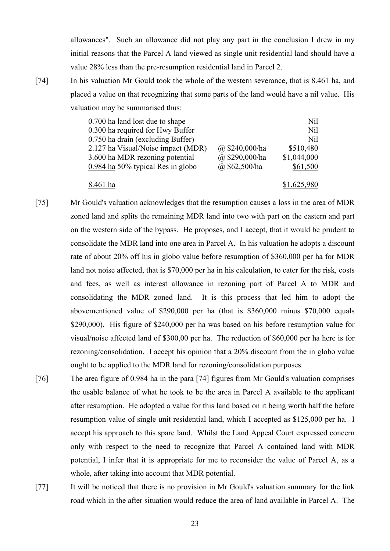allowances". Such an allowance did not play any part in the conclusion I drew in my initial reasons that the Parcel A land viewed as single unit residential land should have a value 28% less than the pre-resumption residential land in Parcel 2.

[74] In his valuation Mr Gould took the whole of the western severance, that is 8.461 ha, and placed a value on that recognizing that some parts of the land would have a nil value. His valuation may be summarised thus:

| 0.700 ha land lost due to shape     |                   | Nil         |
|-------------------------------------|-------------------|-------------|
| 0.300 ha required for Hwy Buffer    |                   | Nil         |
| 0.750 ha drain (excluding Buffer)   |                   | Nil         |
| 2.127 ha Visual/Noise impact (MDR)  | @ $$240,000/ha$   | \$510,480   |
| 3.600 ha MDR rezoning potential     | @ \$290,000/ha    | \$1,044,000 |
| $0.984$ ha 50% typical Res in globo | $(a)$ \$62,500/ha | \$61,500    |
| 8.461 ha                            |                   | \$1,625,980 |

- [75] Mr Gould's valuation acknowledges that the resumption causes a loss in the area of MDR zoned land and splits the remaining MDR land into two with part on the eastern and part on the western side of the bypass. He proposes, and I accept, that it would be prudent to consolidate the MDR land into one area in Parcel A. In his valuation he adopts a discount rate of about 20% off his in globo value before resumption of \$360,000 per ha for MDR land not noise affected, that is \$70,000 per ha in his calculation, to cater for the risk, costs and fees, as well as interest allowance in rezoning part of Parcel A to MDR and consolidating the MDR zoned land. It is this process that led him to adopt the abovementioned value of \$290,000 per ha (that is \$360,000 minus \$70,000 equals \$290,000). His figure of \$240,000 per ha was based on his before resumption value for visual/noise affected land of \$300,00 per ha. The reduction of \$60,000 per ha here is for rezoning/consolidation. I accept his opinion that a 20% discount from the in globo value ought to be applied to the MDR land for rezoning/consolidation purposes.
- [76] The area figure of 0.984 ha in the para [74] figures from Mr Gould's valuation comprises the usable balance of what he took to be the area in Parcel A available to the applicant after resumption. He adopted a value for this land based on it being worth half the before resumption value of single unit residential land, which I accepted as \$125,000 per ha. I accept his approach to this spare land. Whilst the Land Appeal Court expressed concern only with respect to the need to recognize that Parcel A contained land with MDR potential, I infer that it is appropriate for me to reconsider the value of Parcel A, as a whole, after taking into account that MDR potential.
- [77] It will be noticed that there is no provision in Mr Gould's valuation summary for the link road which in the after situation would reduce the area of land available in Parcel A. The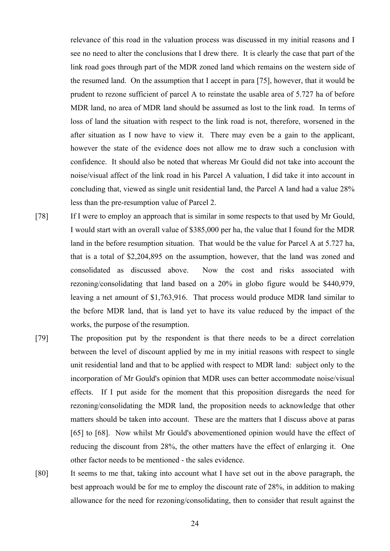relevance of this road in the valuation process was discussed in my initial reasons and I see no need to alter the conclusions that I drew there. It is clearly the case that part of the link road goes through part of the MDR zoned land which remains on the western side of the resumed land. On the assumption that I accept in para [75], however, that it would be prudent to rezone sufficient of parcel A to reinstate the usable area of 5.727 ha of before MDR land, no area of MDR land should be assumed as lost to the link road. In terms of loss of land the situation with respect to the link road is not, therefore, worsened in the after situation as I now have to view it. There may even be a gain to the applicant, however the state of the evidence does not allow me to draw such a conclusion with confidence. It should also be noted that whereas Mr Gould did not take into account the noise/visual affect of the link road in his Parcel A valuation, I did take it into account in concluding that, viewed as single unit residential land, the Parcel A land had a value 28% less than the pre-resumption value of Parcel 2.

- [78] If I were to employ an approach that is similar in some respects to that used by Mr Gould, I would start with an overall value of \$385,000 per ha, the value that I found for the MDR land in the before resumption situation. That would be the value for Parcel A at 5.727 ha, that is a total of \$2,204,895 on the assumption, however, that the land was zoned and consolidated as discussed above. Now the cost and risks associated with rezoning/consolidating that land based on a 20% in globo figure would be \$440,979, leaving a net amount of \$1,763,916. That process would produce MDR land similar to the before MDR land, that is land yet to have its value reduced by the impact of the works, the purpose of the resumption.
- [79] The proposition put by the respondent is that there needs to be a direct correlation between the level of discount applied by me in my initial reasons with respect to single unit residential land and that to be applied with respect to MDR land: subject only to the incorporation of Mr Gould's opinion that MDR uses can better accommodate noise/visual effects. If I put aside for the moment that this proposition disregards the need for rezoning/consolidating the MDR land, the proposition needs to acknowledge that other matters should be taken into account. These are the matters that I discuss above at paras [65] to [68]. Now whilst Mr Gould's abovementioned opinion would have the effect of reducing the discount from 28%, the other matters have the effect of enlarging it. One other factor needs to be mentioned - the sales evidence.
- [80] It seems to me that, taking into account what I have set out in the above paragraph, the best approach would be for me to employ the discount rate of 28%, in addition to making allowance for the need for rezoning/consolidating, then to consider that result against the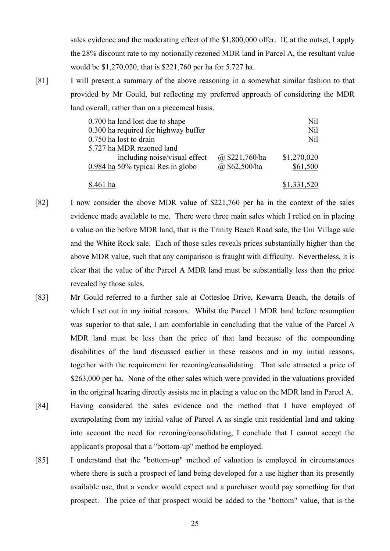sales evidence and the moderating effect of the \$1,800,000 offer. If, at the outset, I apply the 28% discount rate to my notionally rezoned MDR land in Parcel A, the resultant value would be \$1,270,020, that is \$221,760 per ha for 5.727 ha.

[81] I will present a summary of the above reasoning in a somewhat similar fashion to that provided by Mr Gould, but reflecting my preferred approach of considering the MDR land overall, rather than on a piecemeal basis.

| 0.700 ha land lost due to shape      |                    | Nil         |
|--------------------------------------|--------------------|-------------|
| 0.300 ha required for highway buffer |                    | Nil         |
| 0.750 ha lost to drain               |                    | Nil         |
| 5.727 ha MDR rezoned land            |                    |             |
| including noise/visual effect        | $(a)$ \$221,760/ha | \$1,270,020 |
| $0.984$ ha 50% typical Res in globo  | $(a)$ \$62,500/ha  | \$61,500    |
| 8.461 ha                             |                    | \$1,331,520 |

- [82] I now consider the above MDR value of \$221,760 per ha in the context of the sales evidence made available to me. There were three main sales which I relied on in placing a value on the before MDR land, that is the Trinity Beach Road sale, the Uni Village sale and the White Rock sale. Each of those sales reveals prices substantially higher than the above MDR value, such that any comparison is fraught with difficulty. Nevertheless, it is clear that the value of the Parcel A MDR land must be substantially less than the price revealed by those sales.
- [83] Mr Gould referred to a further sale at Cottesloe Drive, Kewarra Beach, the details of which I set out in my initial reasons. Whilst the Parcel 1 MDR land before resumption was superior to that sale, I am comfortable in concluding that the value of the Parcel A MDR land must be less than the price of that land because of the compounding disabilities of the land discussed earlier in these reasons and in my initial reasons, together with the requirement for rezoning/consolidating. That sale attracted a price of \$263,000 per ha. None of the other sales which were provided in the valuations provided in the original hearing directly assists me in placing a value on the MDR land in Parcel A.
- [84] Having considered the sales evidence and the method that I have employed of extrapolating from my initial value of Parcel A as single unit residential land and taking into account the need for rezoning/consolidating, I conclude that I cannot accept the applicant's proposal that a "bottom-up" method be employed.
- [85] I understand that the "bottom-up" method of valuation is employed in circumstances where there is such a prospect of land being developed for a use higher than its presently available use, that a vendor would expect and a purchaser would pay something for that prospect. The price of that prospect would be added to the "bottom" value, that is the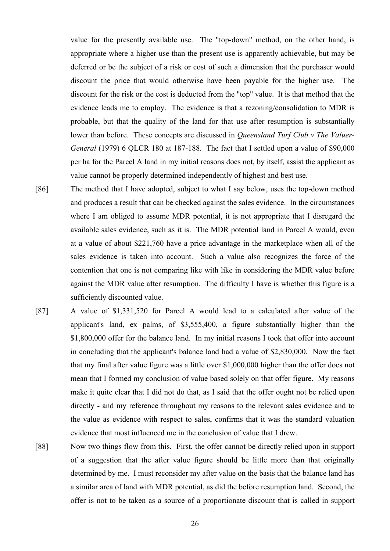value for the presently available use. The "top-down" method, on the other hand, is appropriate where a higher use than the present use is apparently achievable, but may be deferred or be the subject of a risk or cost of such a dimension that the purchaser would discount the price that would otherwise have been payable for the higher use. The discount for the risk or the cost is deducted from the "top" value. It is that method that the evidence leads me to employ. The evidence is that a rezoning/consolidation to MDR is probable, but that the quality of the land for that use after resumption is substantially lower than before. These concepts are discussed in *Queensland Turf Club v The Valuer-General* (1979) 6 QLCR 180 at 187-188. The fact that I settled upon a value of \$90,000 per ha for the Parcel A land in my initial reasons does not, by itself, assist the applicant as value cannot be properly determined independently of highest and best use.

- [86] The method that I have adopted, subject to what I say below, uses the top-down method and produces a result that can be checked against the sales evidence. In the circumstances where I am obliged to assume MDR potential, it is not appropriate that I disregard the available sales evidence, such as it is. The MDR potential land in Parcel A would, even at a value of about \$221,760 have a price advantage in the marketplace when all of the sales evidence is taken into account. Such a value also recognizes the force of the contention that one is not comparing like with like in considering the MDR value before against the MDR value after resumption. The difficulty I have is whether this figure is a sufficiently discounted value.
- [87] A value of \$1,331,520 for Parcel A would lead to a calculated after value of the applicant's land, ex palms, of \$3,555,400, a figure substantially higher than the \$1,800,000 offer for the balance land. In my initial reasons I took that offer into account in concluding that the applicant's balance land had a value of \$2,830,000. Now the fact that my final after value figure was a little over \$1,000,000 higher than the offer does not mean that I formed my conclusion of value based solely on that offer figure. My reasons make it quite clear that I did not do that, as I said that the offer ought not be relied upon directly - and my reference throughout my reasons to the relevant sales evidence and to the value as evidence with respect to sales, confirms that it was the standard valuation evidence that most influenced me in the conclusion of value that I drew.
- [88] Now two things flow from this. First, the offer cannot be directly relied upon in support of a suggestion that the after value figure should be little more than that originally determined by me. I must reconsider my after value on the basis that the balance land has a similar area of land with MDR potential, as did the before resumption land. Second, the offer is not to be taken as a source of a proportionate discount that is called in support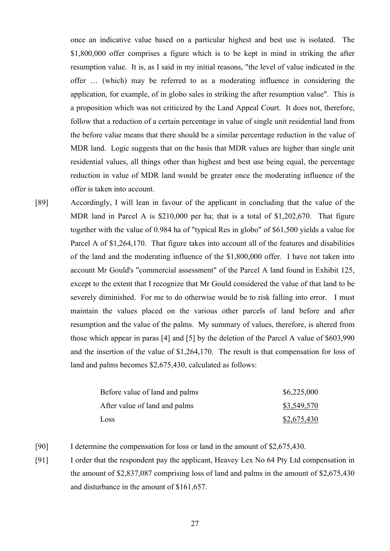once an indicative value based on a particular highest and best use is isolated. The \$1,800,000 offer comprises a figure which is to be kept in mind in striking the after resumption value. It is, as I said in my initial reasons, "the level of value indicated in the offer … (which) may be referred to as a moderating influence in considering the application, for example, of in globo sales in striking the after resumption value". This is a proposition which was not criticized by the Land Appeal Court. It does not, therefore, follow that a reduction of a certain percentage in value of single unit residential land from the before value means that there should be a similar percentage reduction in the value of MDR land. Logic suggests that on the basis that MDR values are higher than single unit residential values, all things other than highest and best use being equal, the percentage reduction in value of MDR land would be greater once the moderating influence of the offer is taken into account.

[89] Accordingly, I will lean in favour of the applicant in concluding that the value of the MDR land in Parcel A is \$210,000 per ha; that is a total of \$1,202,670. That figure together with the value of 0.984 ha of "typical Res in globo" of \$61,500 yields a value for Parcel A of \$1,264,170. That figure takes into account all of the features and disabilities of the land and the moderating influence of the \$1,800,000 offer. I have not taken into account Mr Gould's "commercial assessment" of the Parcel A land found in Exhibit 125, except to the extent that I recognize that Mr Gould considered the value of that land to be severely diminished. For me to do otherwise would be to risk falling into error. I must maintain the values placed on the various other parcels of land before and after resumption and the value of the palms. My summary of values, therefore, is altered from those which appear in paras [4] and [5] by the deletion of the Parcel A value of \$603,990 and the insertion of the value of \$1,264,170. The result is that compensation for loss of land and palms becomes \$2,675,430, calculated as follows:

| Before value of land and palms | \$6,225,000 |
|--------------------------------|-------------|
| After value of land and palms  | \$3,549,570 |
| Loss                           | \$2,675,430 |

- [90] I determine the compensation for loss or land in the amount of \$2,675,430.
- [91] I order that the respondent pay the applicant, Heavey Lex No 64 Pty Ltd compensation in the amount of \$2,837,087 comprising loss of land and palms in the amount of \$2,675,430 and disturbance in the amount of \$161,657.